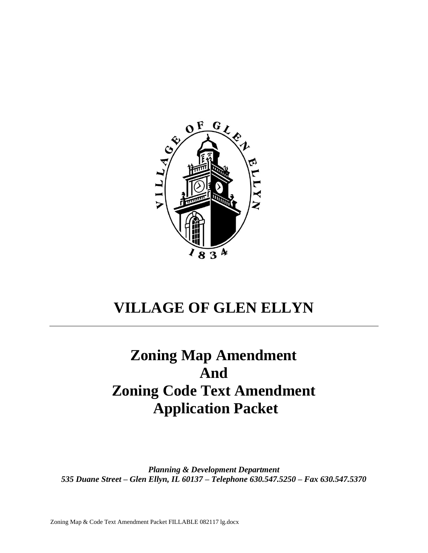

# **VILLAGE OF GLEN ELLYN**

# **Zoning Map Amendment And Zoning Code Text Amendment Application Packet**

*Planning & Development Department 535 Duane Street – Glen Ellyn, IL 60137 – Telephone 630.547.5250 – Fax 630.547.5370*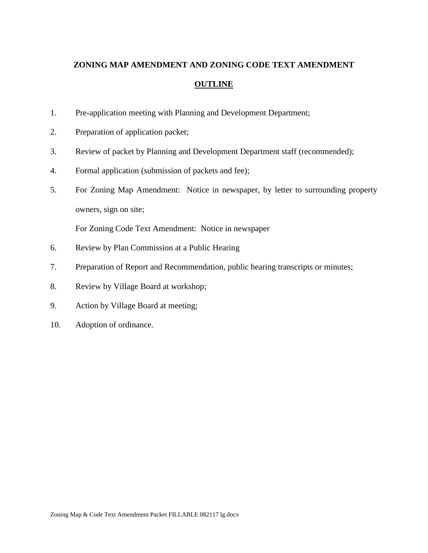## **ZONING MAP AMENDMENT AND ZONING CODE TEXT AMENDMENT OUTLINE**

- 1. Pre-application meeting with Planning and Development Department;
- 2. Preparation of application packet;
- 3. Review of packet by Planning and Development Department staff (recommended);
- 4. Formal application (submission of packets and fee);
- 5. For Zoning Map Amendment: Notice in newspaper, by letter to surrounding property owners, sign on site;

For Zoning Code Text Amendment: Notice in newspaper

- 6. Review by Plan Commission at a Public Hearing
- 7. Preparation of Report and Recommendation, public hearing transcripts or minutes;
- 8. Review by Village Board at workshop;
- 9. Action by Village Board at meeting;
- 10. Adoption of ordinance.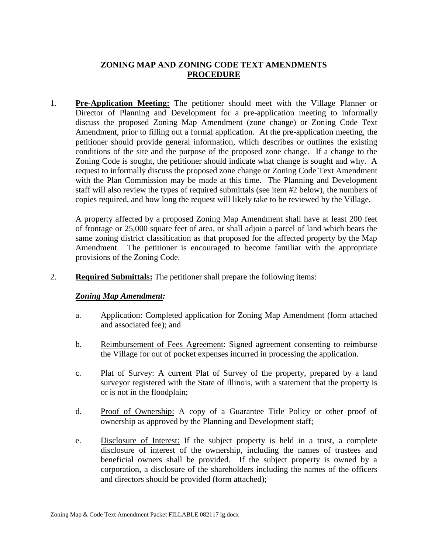## **ZONING MAP AND ZONING CODE TEXT AMENDMENTS PROCEDURE**

1. **Pre-Application Meeting:** The petitioner should meet with the Village Planner or Director of Planning and Development for a pre-application meeting to informally discuss the proposed Zoning Map Amendment (zone change) or Zoning Code Text Amendment, prior to filling out a formal application. At the pre-application meeting, the petitioner should provide general information, which describes or outlines the existing conditions of the site and the purpose of the proposed zone change. If a change to the Zoning Code is sought, the petitioner should indicate what change is sought and why. A request to informally discuss the proposed zone change or Zoning Code Text Amendment with the Plan Commission may be made at this time. The Planning and Development staff will also review the types of required submittals (see item #2 below), the numbers of copies required, and how long the request will likely take to be reviewed by the Village.

A property affected by a proposed Zoning Map Amendment shall have at least 200 feet of frontage or 25,000 square feet of area, or shall adjoin a parcel of land which bears the same zoning district classification as that proposed for the affected property by the Map Amendment. The petitioner is encouraged to become familiar with the appropriate provisions of the Zoning Code.

2. **Required Submittals:** The petitioner shall prepare the following items:

#### *Zoning Map Amendment:*

- a. Application: Completed application for Zoning Map Amendment (form attached and associated fee); and
- b. Reimbursement of Fees Agreement: Signed agreement consenting to reimburse the Village for out of pocket expenses incurred in processing the application.
- c. Plat of Survey: A current Plat of Survey of the property, prepared by a land surveyor registered with the State of Illinois, with a statement that the property is or is not in the floodplain;
- d. Proof of Ownership: A copy of a Guarantee Title Policy or other proof of ownership as approved by the Planning and Development staff;
- e. Disclosure of Interest: If the subject property is held in a trust, a complete disclosure of interest of the ownership, including the names of trustees and beneficial owners shall be provided. If the subject property is owned by a corporation, a disclosure of the shareholders including the names of the officers and directors should be provided (form attached);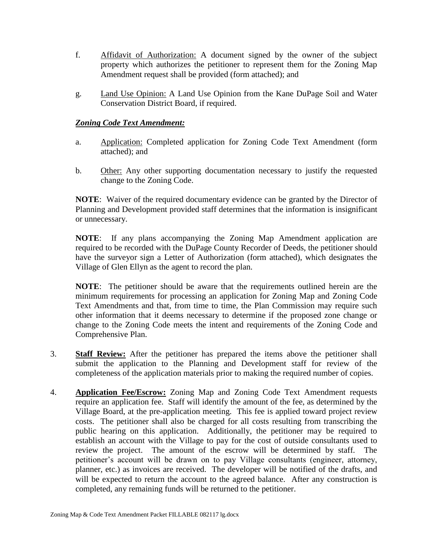- f. Affidavit of Authorization: A document signed by the owner of the subject property which authorizes the petitioner to represent them for the Zoning Map Amendment request shall be provided (form attached); and
- g. Land Use Opinion: A Land Use Opinion from the Kane DuPage Soil and Water Conservation District Board, if required.

#### *Zoning Code Text Amendment:*

- a. Application: Completed application for Zoning Code Text Amendment (form attached); and
- b. Other: Any other supporting documentation necessary to justify the requested change to the Zoning Code.

**NOTE**:Waiver of the required documentary evidence can be granted by the Director of Planning and Development provided staff determines that the information is insignificant or unnecessary.

**NOTE**: If any plans accompanying the Zoning Map Amendment application are required to be recorded with the DuPage County Recorder of Deeds, the petitioner should have the surveyor sign a Letter of Authorization (form attached), which designates the Village of Glen Ellyn as the agent to record the plan.

**NOTE**: The petitioner should be aware that the requirements outlined herein are the minimum requirements for processing an application for Zoning Map and Zoning Code Text Amendments and that, from time to time, the Plan Commission may require such other information that it deems necessary to determine if the proposed zone change or change to the Zoning Code meets the intent and requirements of the Zoning Code and Comprehensive Plan.

- 3. **Staff Review:** After the petitioner has prepared the items above the petitioner shall submit the application to the Planning and Development staff for review of the completeness of the application materials prior to making the required number of copies.
- 4. **Application Fee/Escrow:** Zoning Map and Zoning Code Text Amendment requests require an application fee. Staff will identify the amount of the fee, as determined by the Village Board, at the pre-application meeting. This fee is applied toward project review costs. The petitioner shall also be charged for all costs resulting from transcribing the public hearing on this application. Additionally, the petitioner may be required to establish an account with the Village to pay for the cost of outside consultants used to review the project. The amount of the escrow will be determined by staff. The petitioner's account will be drawn on to pay Village consultants (engineer, attorney, planner, etc.) as invoices are received. The developer will be notified of the drafts, and will be expected to return the account to the agreed balance. After any construction is completed, any remaining funds will be returned to the petitioner.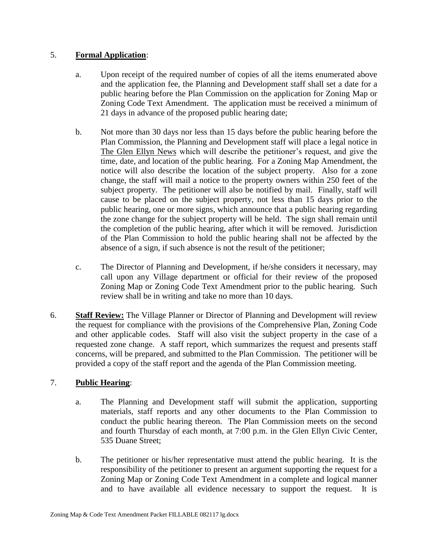### 5. **Formal Application**:

- a. Upon receipt of the required number of copies of all the items enumerated above and the application fee, the Planning and Development staff shall set a date for a public hearing before the Plan Commission on the application for Zoning Map or Zoning Code Text Amendment. The application must be received a minimum of 21 days in advance of the proposed public hearing date;
- b. Not more than 30 days nor less than 15 days before the public hearing before the Plan Commission, the Planning and Development staff will place a legal notice in The Glen Ellyn News which will describe the petitioner's request, and give the time, date, and location of the public hearing. For a Zoning Map Amendment, the notice will also describe the location of the subject property. Also for a zone change, the staff will mail a notice to the property owners within 250 feet of the subject property. The petitioner will also be notified by mail. Finally, staff will cause to be placed on the subject property, not less than 15 days prior to the public hearing, one or more signs, which announce that a public hearing regarding the zone change for the subject property will be held. The sign shall remain until the completion of the public hearing, after which it will be removed. Jurisdiction of the Plan Commission to hold the public hearing shall not be affected by the absence of a sign, if such absence is not the result of the petitioner;
- c. The Director of Planning and Development, if he/she considers it necessary, may call upon any Village department or official for their review of the proposed Zoning Map or Zoning Code Text Amendment prior to the public hearing. Such review shall be in writing and take no more than 10 days.
- 6. **Staff Review:** The Village Planner or Director of Planning and Development will review the request for compliance with the provisions of the Comprehensive Plan, Zoning Code and other applicable codes. Staff will also visit the subject property in the case of a requested zone change. A staff report, which summarizes the request and presents staff concerns, will be prepared, and submitted to the Plan Commission. The petitioner will be provided a copy of the staff report and the agenda of the Plan Commission meeting.

## 7. **Public Hearing**:

- a. The Planning and Development staff will submit the application, supporting materials, staff reports and any other documents to the Plan Commission to conduct the public hearing thereon. The Plan Commission meets on the second and fourth Thursday of each month, at 7:00 p.m. in the Glen Ellyn Civic Center, 535 Duane Street;
- b. The petitioner or his/her representative must attend the public hearing. It is the responsibility of the petitioner to present an argument supporting the request for a Zoning Map or Zoning Code Text Amendment in a complete and logical manner and to have available all evidence necessary to support the request. It is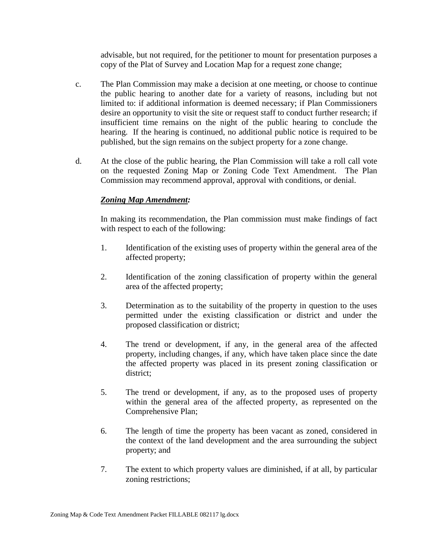advisable, but not required, for the petitioner to mount for presentation purposes a copy of the Plat of Survey and Location Map for a request zone change;

- c. The Plan Commission may make a decision at one meeting, or choose to continue the public hearing to another date for a variety of reasons, including but not limited to: if additional information is deemed necessary; if Plan Commissioners desire an opportunity to visit the site or request staff to conduct further research; if insufficient time remains on the night of the public hearing to conclude the hearing. If the hearing is continued, no additional public notice is required to be published, but the sign remains on the subject property for a zone change.
- d. At the close of the public hearing, the Plan Commission will take a roll call vote on the requested Zoning Map or Zoning Code Text Amendment. The Plan Commission may recommend approval, approval with conditions, or denial.

#### *Zoning Map Amendment:*

In making its recommendation, the Plan commission must make findings of fact with respect to each of the following:

- 1. Identification of the existing uses of property within the general area of the affected property;
- 2. Identification of the zoning classification of property within the general area of the affected property;
- 3. Determination as to the suitability of the property in question to the uses permitted under the existing classification or district and under the proposed classification or district;
- 4. The trend or development, if any, in the general area of the affected property, including changes, if any, which have taken place since the date the affected property was placed in its present zoning classification or district;
- 5. The trend or development, if any, as to the proposed uses of property within the general area of the affected property, as represented on the Comprehensive Plan;
- 6. The length of time the property has been vacant as zoned, considered in the context of the land development and the area surrounding the subject property; and
- 7. The extent to which property values are diminished, if at all, by particular zoning restrictions;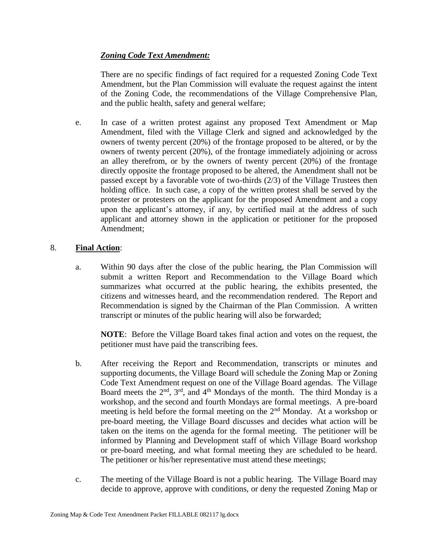### *Zoning Code Text Amendment:*

There are no specific findings of fact required for a requested Zoning Code Text Amendment, but the Plan Commission will evaluate the request against the intent of the Zoning Code, the recommendations of the Village Comprehensive Plan, and the public health, safety and general welfare;

e. In case of a written protest against any proposed Text Amendment or Map Amendment, filed with the Village Clerk and signed and acknowledged by the owners of twenty percent (20%) of the frontage proposed to be altered, or by the owners of twenty percent (20%), of the frontage immediately adjoining or across an alley therefrom, or by the owners of twenty percent (20%) of the frontage directly opposite the frontage proposed to be altered, the Amendment shall not be passed except by a favorable vote of two-thirds (2/3) of the Village Trustees then holding office. In such case, a copy of the written protest shall be served by the protester or protesters on the applicant for the proposed Amendment and a copy upon the applicant's attorney, if any, by certified mail at the address of such applicant and attorney shown in the application or petitioner for the proposed Amendment;

### 8. **Final Action**:

a. Within 90 days after the close of the public hearing, the Plan Commission will submit a written Report and Recommendation to the Village Board which summarizes what occurred at the public hearing, the exhibits presented, the citizens and witnesses heard, and the recommendation rendered. The Report and Recommendation is signed by the Chairman of the Plan Commission. A written transcript or minutes of the public hearing will also be forwarded;

**NOTE**: Before the Village Board takes final action and votes on the request, the petitioner must have paid the transcribing fees.

- b. After receiving the Report and Recommendation, transcripts or minutes and supporting documents, the Village Board will schedule the Zoning Map or Zoning Code Text Amendment request on one of the Village Board agendas. The Village Board meets the  $2<sup>nd</sup>$ ,  $3<sup>rd</sup>$ , and  $4<sup>th</sup>$  Mondays of the month. The third Monday is a workshop, and the second and fourth Mondays are formal meetings. A pre-board meeting is held before the formal meeting on the  $2<sup>nd</sup>$  Monday. At a workshop or pre-board meeting, the Village Board discusses and decides what action will be taken on the items on the agenda for the formal meeting. The petitioner will be informed by Planning and Development staff of which Village Board workshop or pre-board meeting, and what formal meeting they are scheduled to be heard. The petitioner or his/her representative must attend these meetings;
- c. The meeting of the Village Board is not a public hearing. The Village Board may decide to approve, approve with conditions, or deny the requested Zoning Map or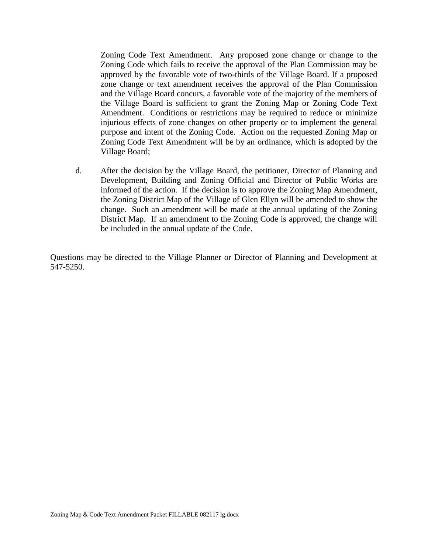Zoning Code Text Amendment. Any proposed zone change or change to the Zoning Code which fails to receive the approval of the Plan Commission may be approved by the favorable vote of two-thirds of the Village Board. If a proposed zone change or text amendment receives the approval of the Plan Commission and the Village Board concurs, a favorable vote of the majority of the members of the Village Board is sufficient to grant the Zoning Map or Zoning Code Text Amendment. Conditions or restrictions may be required to reduce or minimize injurious effects of zone changes on other property or to implement the general purpose and intent of the Zoning Code. Action on the requested Zoning Map or Zoning Code Text Amendment will be by an ordinance, which is adopted by the Village Board;

d. After the decision by the Village Board, the petitioner, Director of Planning and Development, Building and Zoning Official and Director of Public Works are informed of the action. If the decision is to approve the Zoning Map Amendment, the Zoning District Map of the Village of Glen Ellyn will be amended to show the change. Such an amendment will be made at the annual updating of the Zoning District Map. If an amendment to the Zoning Code is approved, the change will be included in the annual update of the Code.

Questions may be directed to the Village Planner or Director of Planning and Development at 547-5250.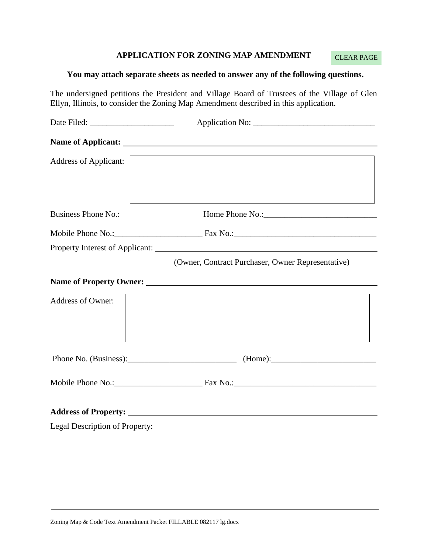#### **APPLICATION FOR ZONING MAP AMENDMENT**

CLEAR PAGE

#### **You may attach separate sheets as needed to answer any of the following questions.**

The undersigned petitions the President and Village Board of Trustees of the Village of Glen Ellyn, Illinois, to consider the Zoning Map Amendment described in this application.

| <b>Address of Applicant:</b>   |                                                                                                                                                                                                                                |
|--------------------------------|--------------------------------------------------------------------------------------------------------------------------------------------------------------------------------------------------------------------------------|
|                                | Business Phone No.: Money Home Phone No.: Manuscription Phone No.: Manuscription Phone No.: Manuscription Phone No.: Manuscription Phone No.: Manuscription Phone No.: Manuscription Phone No.: Manuscription Phone No.: Manus |
|                                |                                                                                                                                                                                                                                |
|                                |                                                                                                                                                                                                                                |
|                                | (Owner, Contract Purchaser, Owner Representative)                                                                                                                                                                              |
|                                |                                                                                                                                                                                                                                |
| <b>Address of Owner:</b>       |                                                                                                                                                                                                                                |
|                                | Phone No. (Business): (Home): (Home):                                                                                                                                                                                          |
|                                |                                                                                                                                                                                                                                |
|                                |                                                                                                                                                                                                                                |
| Legal Description of Property: |                                                                                                                                                                                                                                |
|                                |                                                                                                                                                                                                                                |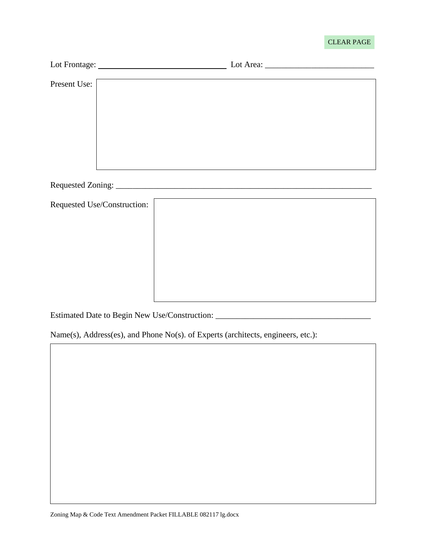#### CLEAR PAGE

| Present Use:                |  |  |  |
|-----------------------------|--|--|--|
|                             |  |  |  |
| Requested Use/Construction: |  |  |  |

<u> 1980 - Johann Barbara, martxa alemaniar a</u>

Estimated Date to Begin New Use/Construction: \_\_\_\_\_\_\_\_\_\_\_\_\_\_\_\_\_\_\_\_\_\_\_\_\_\_\_\_\_\_\_\_\_\_

Name(s), Address(es), and Phone No(s). of Experts (architects, engineers, etc.):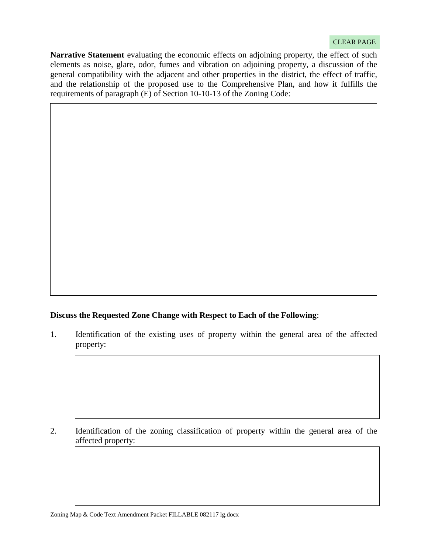#### CLEAR PAGE

**Narrative Statement** evaluating the economic effects on adjoining property, the effect of such elements as noise, glare, odor, fumes and vibration on adjoining property, a discussion of the general compatibility with the adjacent and other properties in the district, the effect of traffic, and the relationship of the proposed use to the Comprehensive Plan, and how it fulfills the requirements of paragraph (E) of Section 10-10-13 of the Zoning Code:

#### **Discuss the Requested Zone Change with Respect to Each of the Following**:

1. Identification of the existing uses of property within the general area of the affected property:

2. Identification of the zoning classification of property within the general area of the affected property: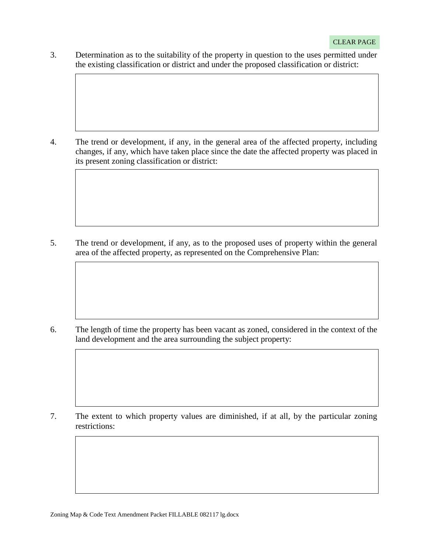3. Determination as to the suitability of the property in question to the uses permitted under the existing classification or district and under the proposed classification or district:

4. The trend or development, if any, in the general area of the affected property, including changes, if any, which have taken place since the date the affected property was placed in its present zoning classification or district:

5. The trend or development, if any, as to the proposed uses of property within the general area of the affected property, as represented on the Comprehensive Plan:

6. The length of time the property has been vacant as zoned, considered in the context of the land development and the area surrounding the subject property:

7. The extent to which property values are diminished, if at all, by the particular zoning restrictions: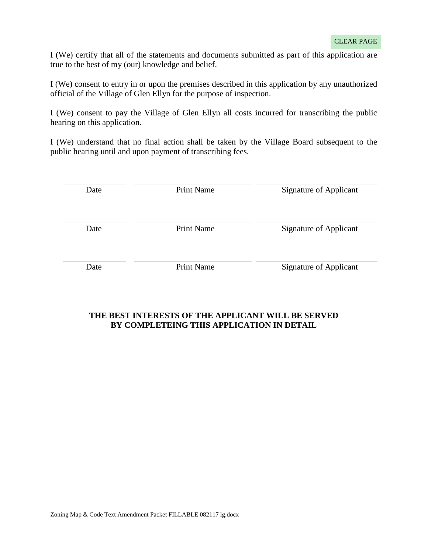$\overline{\phantom{a}}$ 

I (We) certify that all of the statements and documents submitted as part of this application are true to the best of my (our) knowledge and belief.

I (We) consent to entry in or upon the premises described in this application by any unauthorized official of the Village of Glen Ellyn for the purpose of inspection.

I (We) consent to pay the Village of Glen Ellyn all costs incurred for transcribing the public hearing on this application.

I (We) understand that no final action shall be taken by the Village Board subsequent to the public hearing until and upon payment of transcribing fees.

| Date | <b>Print Name</b> | <b>Signature of Applicant</b> |
|------|-------------------|-------------------------------|
| Date | <b>Print Name</b> | <b>Signature of Applicant</b> |
| Date | <b>Print Name</b> | <b>Signature of Applicant</b> |

#### **THE BEST INTERESTS OF THE APPLICANT WILL BE SERVED BY COMPLETEING THIS APPLICATION IN DETAIL**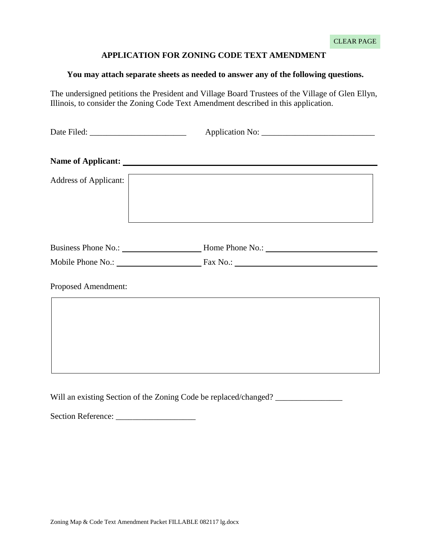#### **APPLICATION FOR ZONING CODE TEXT AMENDMENT**

#### **You may attach separate sheets as needed to answer any of the following questions.**

The undersigned petitions the President and Village Board Trustees of the Village of Glen Ellyn, Illinois, to consider the Zoning Code Text Amendment described in this application.

| Address of Applicant: |                                                                    |  |  |
|-----------------------|--------------------------------------------------------------------|--|--|
|                       |                                                                    |  |  |
|                       |                                                                    |  |  |
| Proposed Amendment:   | <u> 1989 - Johann Stoff, amerikansk politiker (d. 1989)</u>        |  |  |
|                       |                                                                    |  |  |
|                       | Will an existing Section of the Zoning Code be replaced/changed? _ |  |  |

Section Reference: \_\_\_\_\_\_\_\_\_\_\_\_\_\_\_\_\_\_\_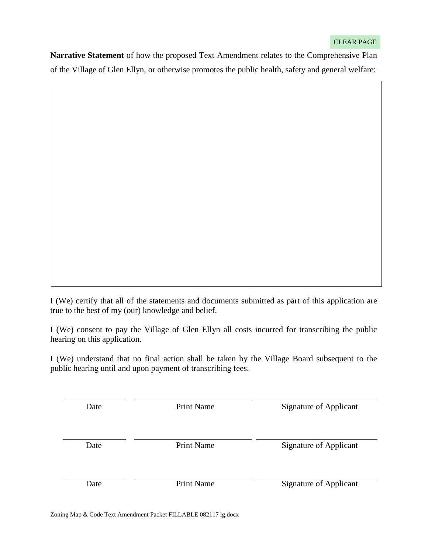**Narrative Statement** of how the proposed Text Amendment relates to the Comprehensive Plan of the Village of Glen Ellyn, or otherwise promotes the public health, safety and general welfare:

I (We) certify that all of the statements and documents submitted as part of this application are true to the best of my (our) knowledge and belief.

I (We) consent to pay the Village of Glen Ellyn all costs incurred for transcribing the public hearing on this application.

I (We) understand that no final action shall be taken by the Village Board subsequent to the public hearing until and upon payment of transcribing fees.

| Date | <b>Print Name</b> | Signature of Applicant        |
|------|-------------------|-------------------------------|
| Date | <b>Print Name</b> | <b>Signature of Applicant</b> |
| Date | <b>Print Name</b> | <b>Signature of Applicant</b> |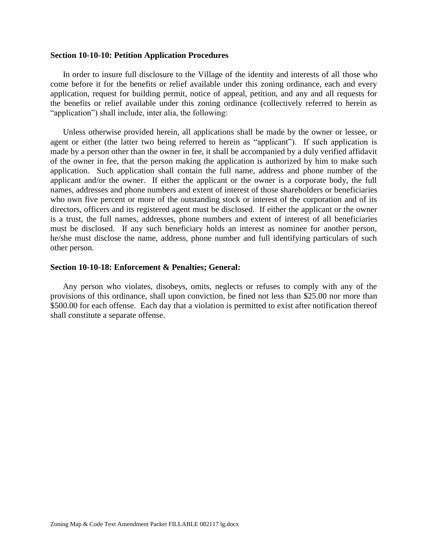#### **Section 10-10-10: Petition Application Procedures**

In order to insure full disclosure to the Village of the identity and interests of all those who come before it for the benefits or relief available under this zoning ordinance, each and every application, request for building permit, notice of appeal, petition, and any and all requests for the benefits or relief available under this zoning ordinance (collectively referred to herein as "application") shall include, inter alia, the following:

Unless otherwise provided herein, all applications shall be made by the owner or lessee, or agent or either (the latter two being referred to herein as "applicant"). If such application is made by a person other than the owner in fee, it shall be accompanied by a duly verified affidavit of the owner in fee, that the person making the application is authorized by him to make such application. Such application shall contain the full name, address and phone number of the applicant and/or the owner. If either the applicant or the owner is a corporate body, the full names, addresses and phone numbers and extent of interest of those shareholders or beneficiaries who own five percent or more of the outstanding stock or interest of the corporation and of its directors, officers and its registered agent must be disclosed. If either the applicant or the owner is a trust, the full names, addresses, phone numbers and extent of interest of all beneficiaries must be disclosed. If any such beneficiary holds an interest as nominee for another person, he/she must disclose the name, address, phone number and full identifying particulars of such other person.

#### **Section 10-10-18: Enforcement & Penalties; General:**

Any person who violates, disobeys, omits, neglects or refuses to comply with any of the provisions of this ordinance, shall upon conviction, be fined not less than \$25.00 nor more than \$500.00 for each offense. Each day that a violation is permitted to exist after notification thereof shall constitute a separate offense.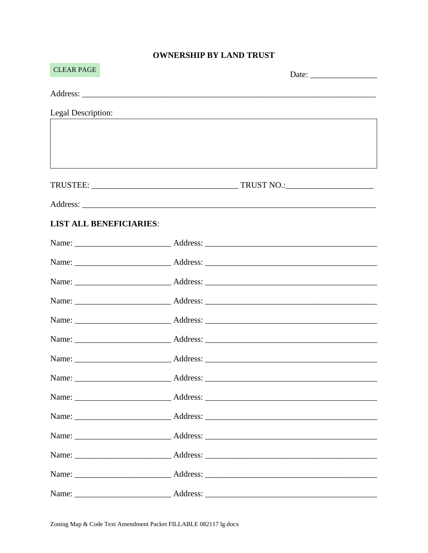## **OWNERSHIP BY LAND TRUST**

| <b>CLEAR PAGE</b>              | Date: $\frac{1}{\sqrt{1-\frac{1}{2}}\cdot\frac{1}{2}}$                           |
|--------------------------------|----------------------------------------------------------------------------------|
|                                |                                                                                  |
| Legal Description:             |                                                                                  |
|                                |                                                                                  |
|                                |                                                                                  |
|                                | ,我们也不能在这里的时候,我们也不能在这里的时候,我们也不能会在这里,我们也不能会在这里的时候,我们也不能会在这里的时候,我们也不能会在这里的时候,我们也不能会 |
|                                |                                                                                  |
|                                |                                                                                  |
| <b>LIST ALL BENEFICIARIES:</b> |                                                                                  |
|                                |                                                                                  |
|                                |                                                                                  |
|                                |                                                                                  |
|                                |                                                                                  |
|                                |                                                                                  |
|                                |                                                                                  |
|                                |                                                                                  |
|                                |                                                                                  |
|                                |                                                                                  |
|                                |                                                                                  |
|                                |                                                                                  |
|                                |                                                                                  |
|                                |                                                                                  |
|                                |                                                                                  |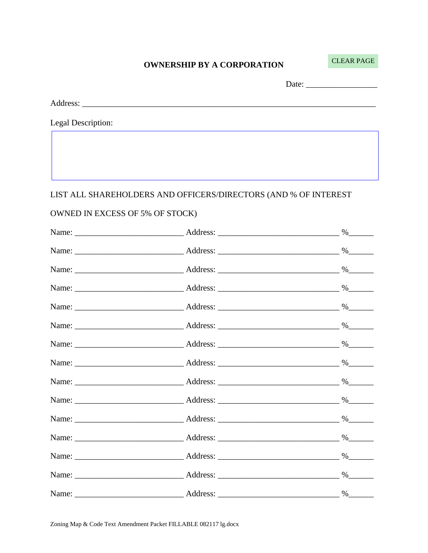#### **OWNERSHIP BY A CORPORATION**

**CLEAR PAGE** 

Legal Description:

LIST ALL SHAREHOLDERS AND OFFICERS/DIRECTORS (AND % OF INTEREST

#### OWNED IN EXCESS OF 5% OF STOCK)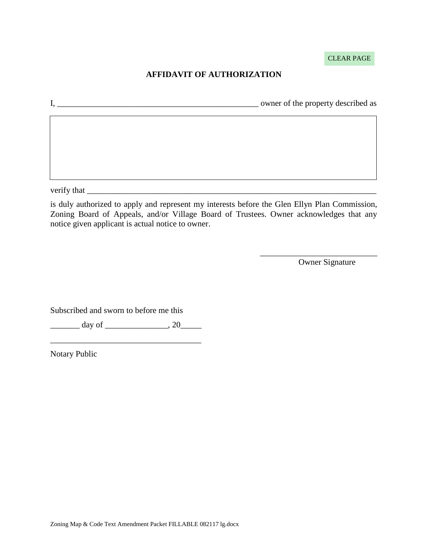CLEAR PAGE

## **AFFIDAVIT OF AUTHORIZATION**

I, \_\_\_\_\_\_\_\_\_\_\_\_\_\_\_\_\_\_\_\_\_\_\_\_\_\_\_\_\_\_\_\_\_\_\_\_\_\_\_\_\_\_\_\_\_\_\_\_ owner of the property described as

verify that \_\_\_\_\_\_\_\_\_\_\_\_\_\_\_\_\_\_\_\_\_\_\_\_\_\_\_\_\_\_\_\_\_\_\_\_\_\_\_\_\_\_\_\_\_\_\_\_\_\_\_\_\_\_\_\_\_\_\_\_\_\_\_\_\_\_\_\_\_

is duly authorized to apply and represent my interests before the Glen Ellyn Plan Commission, Zoning Board of Appeals, and/or Village Board of Trustees. Owner acknowledges that any notice given applicant is actual notice to owner.

Owner Signature

\_\_\_\_\_\_\_\_\_\_\_\_\_\_\_\_\_\_\_\_\_\_\_\_\_\_\_\_

Subscribed and sworn to before me this

 $\frac{day \text{ of }_{\text{max}}}{x}$ \_\_\_\_\_\_\_\_\_\_\_\_\_\_\_\_\_\_\_\_\_\_\_\_\_\_\_\_\_\_\_\_\_\_\_\_

Notary Public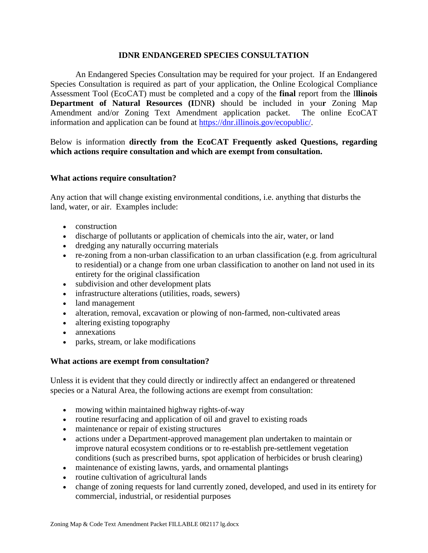#### **IDNR ENDANGERED SPECIES CONSULTATION**

An Endangered Species Consultation may be required for your project. If an Endangered Species Consultation is required as part of your application, the Online Ecological Compliance Assessment Tool (EcoCAT) must be completed and a copy of the **final** report from the I**llinois Department of Natural Resources (I**DNR**)** should be included in you**r** Zoning Map Amendment and/or Zoning Text Amendment application packet. The online EcoCAT information and application can be found at [https://dnr.illinois.gov/ecopublic/.](https://dnr.illinois.gov/ecopublic/)

Below is information **directly from the EcoCAT Frequently asked Questions, regarding which actions require consultation and which are exempt from consultation.**

#### **What actions require consultation?**

Any action that will change existing environmental conditions, i.e. anything that disturbs the land, water, or air. Examples include:

- construction
- discharge of pollutants or application of chemicals into the air, water, or land
- dredging any naturally occurring materials
- re-zoning from a non-urban classification to an urban classification (e.g. from agricultural to residential) or a change from one urban classification to another on land not used in its entirety for the original classification
- subdivision and other development plats
- infrastructure alterations (utilities, roads, sewers)
- land management
- alteration, removal, excavation or plowing of non-farmed, non-cultivated areas
- altering existing topography
- annexations
- parks, stream, or lake modifications

#### **What actions are exempt from consultation?**

Unless it is evident that they could directly or indirectly affect an endangered or threatened species or a Natural Area, the following actions are exempt from consultation:

- mowing within maintained highway rights-of-way
- routine resurfacing and application of oil and gravel to existing roads
- maintenance or repair of existing structures
- actions under a Department-approved management plan undertaken to maintain or improve natural ecosystem conditions or to re-establish pre-settlement vegetation conditions (such as prescribed burns, spot application of herbicides or brush clearing)
- maintenance of existing lawns, yards, and ornamental plantings
- routine cultivation of agricultural lands
- change of zoning requests for land currently zoned, developed, and used in its entirety for commercial, industrial, or residential purposes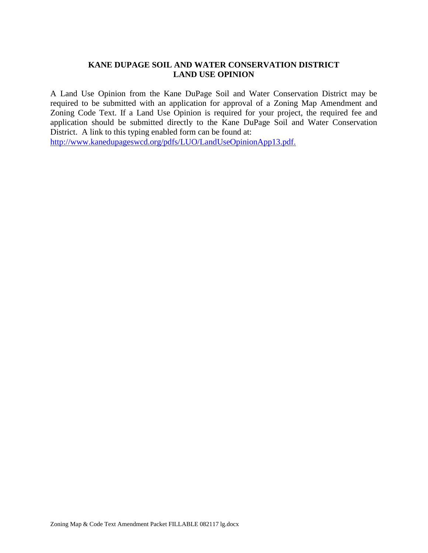#### **KANE DUPAGE SOIL AND WATER CONSERVATION DISTRICT LAND USE OPINION**

A Land Use Opinion from the Kane DuPage Soil and Water Conservation District may be required to be submitted with an application for approval of a Zoning Map Amendment and Zoning Code Text. If a Land Use Opinion is required for your project, the required fee and application should be submitted directly to the Kane DuPage Soil and Water Conservation District. A link to this typing enabled form can be found at:

[http://www.kanedupageswcd.org/pdfs/LUO/LandUseOpinionApp13.pdf.](http://www.kanedupageswcd.org/pdfs/LUO/LandUseOpinionApp13.pdf)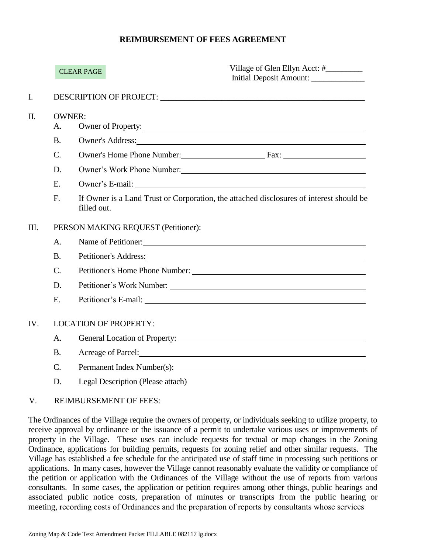#### **REIMBURSEMENT OF FEES AGREEMENT**

|      |                 | <b>CLEAR PAGE</b>                   | Village of Glen Ellyn Acct: #________<br>Initial Deposit Amount:                                                                                                                                                               |  |
|------|-----------------|-------------------------------------|--------------------------------------------------------------------------------------------------------------------------------------------------------------------------------------------------------------------------------|--|
| I.   |                 |                                     |                                                                                                                                                                                                                                |  |
| Π.   | A.              | <b>OWNER:</b>                       | Owner of Property:                                                                                                                                                                                                             |  |
|      | <b>B.</b>       |                                     | Owner's Address:                                                                                                                                                                                                               |  |
|      | $\mathcal{C}$ . |                                     | Owner's Home Phone Number: Fax: Fax:                                                                                                                                                                                           |  |
|      | D.              |                                     | Owner's Work Phone Number: 1988                                                                                                                                                                                                |  |
|      | E.              |                                     |                                                                                                                                                                                                                                |  |
|      | F.              | filled out.                         | If Owner is a Land Trust or Corporation, the attached disclosures of interest should be                                                                                                                                        |  |
| III. |                 | PERSON MAKING REQUEST (Petitioner): |                                                                                                                                                                                                                                |  |
|      | A.              |                                     | Name of Petitioner:                                                                                                                                                                                                            |  |
|      | <b>B.</b>       |                                     | Petitioner's Address: New York Changes and Security and Security and Security and Security and Security and Security and Security and Security and Security and Security and Security and Security and Security and Security a |  |
|      | $C$ .           |                                     | Petitioner's Home Phone Number:                                                                                                                                                                                                |  |
|      | D.              |                                     |                                                                                                                                                                                                                                |  |
|      | E.              |                                     |                                                                                                                                                                                                                                |  |
| IV.  |                 | <b>LOCATION OF PROPERTY:</b>        |                                                                                                                                                                                                                                |  |
|      | A.              |                                     |                                                                                                                                                                                                                                |  |
|      | <b>B.</b>       |                                     | Acreage of Parcel: <u>Container and the set of Parcel</u>                                                                                                                                                                      |  |
|      | $\mathcal{C}$ . |                                     | Permanent Index Number(s):                                                                                                                                                                                                     |  |
|      | D.              | Legal Description (Please attach)   |                                                                                                                                                                                                                                |  |

#### V. REIMBURSEMENT OF FEES:

The Ordinances of the Village require the owners of property, or individuals seeking to utilize property, to receive approval by ordinance or the issuance of a permit to undertake various uses or improvements of property in the Village. These uses can include requests for textual or map changes in the Zoning Ordinance, applications for building permits, requests for zoning relief and other similar requests. The Village has established a fee schedule for the anticipated use of staff time in processing such petitions or applications. In many cases, however the Village cannot reasonably evaluate the validity or compliance of the petition or application with the Ordinances of the Village without the use of reports from various consultants. In some cases, the application or petition requires among other things, public hearings and associated public notice costs, preparation of minutes or transcripts from the public hearing or meeting, recording costs of Ordinances and the preparation of reports by consultants whose services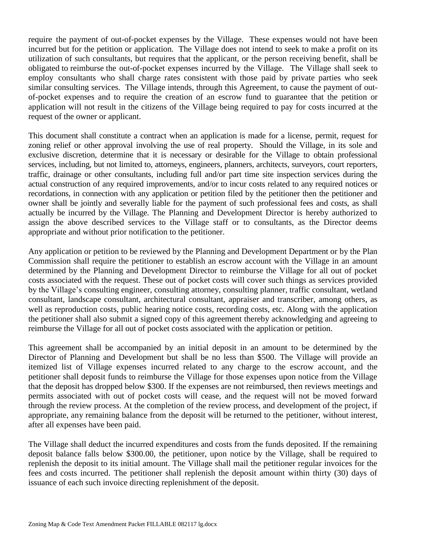require the payment of out-of-pocket expenses by the Village. These expenses would not have been incurred but for the petition or application. The Village does not intend to seek to make a profit on its utilization of such consultants, but requires that the applicant, or the person receiving benefit, shall be obligated to reimburse the out-of-pocket expenses incurred by the Village. The Village shall seek to employ consultants who shall charge rates consistent with those paid by private parties who seek similar consulting services. The Village intends, through this Agreement, to cause the payment of outof-pocket expenses and to require the creation of an escrow fund to guarantee that the petition or application will not result in the citizens of the Village being required to pay for costs incurred at the request of the owner or applicant.

This document shall constitute a contract when an application is made for a license, permit, request for zoning relief or other approval involving the use of real property. Should the Village, in its sole and exclusive discretion, determine that it is necessary or desirable for the Village to obtain professional services, including, but not limited to, attorneys, engineers, planners, architects, surveyors, court reporters, traffic, drainage or other consultants, including full and/or part time site inspection services during the actual construction of any required improvements, and/or to incur costs related to any required notices or recordations, in connection with any application or petition filed by the petitioner then the petitioner and owner shall be jointly and severally liable for the payment of such professional fees and costs, as shall actually be incurred by the Village. The Planning and Development Director is hereby authorized to assign the above described services to the Village staff or to consultants, as the Director deems appropriate and without prior notification to the petitioner.

Any application or petition to be reviewed by the Planning and Development Department or by the Plan Commission shall require the petitioner to establish an escrow account with the Village in an amount determined by the Planning and Development Director to reimburse the Village for all out of pocket costs associated with the request. These out of pocket costs will cover such things as services provided by the Village's consulting engineer, consulting attorney, consulting planner, traffic consultant, wetland consultant, landscape consultant, architectural consultant, appraiser and transcriber, among others, as well as reproduction costs, public hearing notice costs, recording costs, etc. Along with the application the petitioner shall also submit a signed copy of this agreement thereby acknowledging and agreeing to reimburse the Village for all out of pocket costs associated with the application or petition.

This agreement shall be accompanied by an initial deposit in an amount to be determined by the Director of Planning and Development but shall be no less than \$500. The Village will provide an itemized list of Village expenses incurred related to any charge to the escrow account, and the petitioner shall deposit funds to reimburse the Village for those expenses upon notice from the Village that the deposit has dropped below \$300. If the expenses are not reimbursed, then reviews meetings and permits associated with out of pocket costs will cease, and the request will not be moved forward through the review process. At the completion of the review process, and development of the project, if appropriate, any remaining balance from the deposit will be returned to the petitioner, without interest, after all expenses have been paid.

The Village shall deduct the incurred expenditures and costs from the funds deposited. If the remaining deposit balance falls below \$300.00, the petitioner, upon notice by the Village, shall be required to replenish the deposit to its initial amount. The Village shall mail the petitioner regular invoices for the fees and costs incurred. The petitioner shall replenish the deposit amount within thirty (30) days of issuance of each such invoice directing replenishment of the deposit.